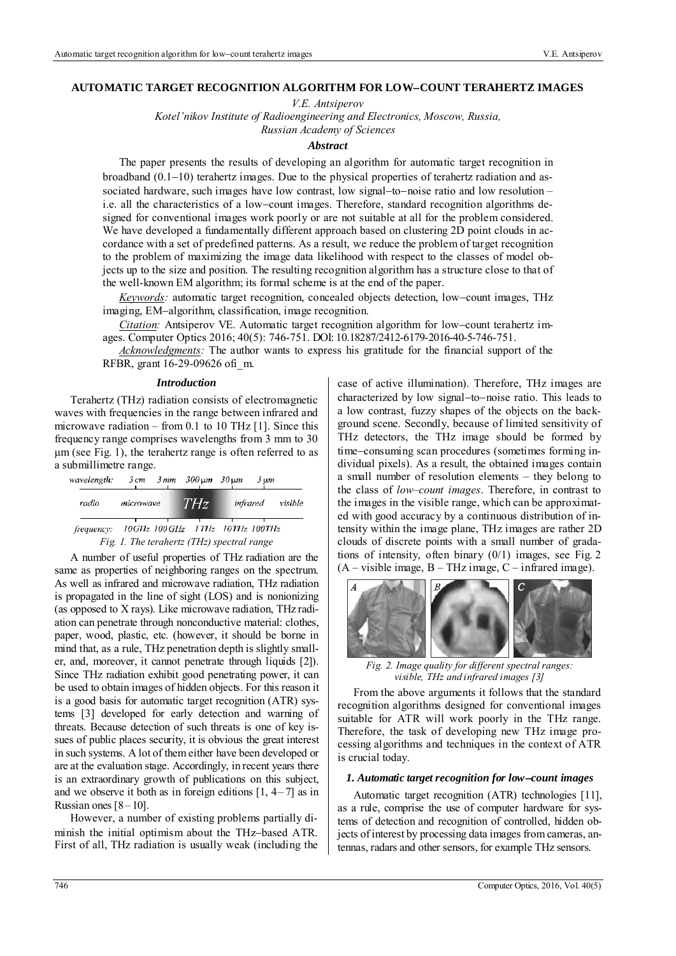### **AUTOMATIC TARGET RECOGNITION ALGORITHM FOR LOWCOUNT TERAHERTZ IMAGES**

*V.E. Antsiperov* 

*Kotel'nikov Institute of Radioengineering and Electronics, Moscow, Russia,* 

*Russian Academy of Sciences* 

#### *Abstract*

The paper presents the results of developing an algorithm for automatic target recognition in broadband  $(0.1-10)$  terahertz images. Due to the physical properties of terahertz radiation and associated hardware, such images have low contrast, low signal-to-noise ratio and low resolution – i.e. all the characteristics of a low-count images. Therefore, standard recognition algorithms designed for conventional images work poorly or are not suitable at all for the problem considered. We have developed a fundamentally different approach based on clustering 2D point clouds in accordance with a set of predefined patterns. As a result, we reduce the problem of target recognition to the problem of maximizing the image data likelihood with respect to the classes of model objects up to the size and position. The resulting recognition algorithm has a structure close to that of the well-known EM algorithm; its formal scheme is at the end of the paper.

*Keywords:* automatic target recognition, concealed objects detection, low-count images, THz imaging, EM-algorithm, classification, image recognition.

*Citation:* Antsiperov VE. Automatic target recognition algorithm for low-count terahertz images. Computer Optics 2016; 40(5): 746-751. DOI: 10.18287/2412-6179-2016-40-5-746-751.

*Acknowledgments:* The author wants to express his gratitude for the financial support of the RFBR, grant 16-29-09626 ofi\_m.

#### *Introduction*

Terahertz (THz) radiation consists of electromagnetic waves with frequencies in the range between infrared and microwave radiation – from 0.1 to 10 THz [1]. Since this frequency range comprises wavelengths from 3 mm to 30 μm (see Fig. 1), the terahertz range is often referred to as a submillimetre range.

| wavelength:                                         |           | $3cm - 3mm - 300 \mu m - 30 \mu m - 3 \mu m$ |  |                  |
|-----------------------------------------------------|-----------|----------------------------------------------|--|------------------|
| radio                                               | microwave | THz                                          |  | infrared visible |
| frequency: $10GHz$ $100GHz$ $17Hz$ $10THz$ $100THz$ |           | Fig. 1. The terahertz (THz) spectral range   |  |                  |

A number of useful properties of THz radiation are the same as properties of neighboring ranges on the spectrum. As well as infrared and microwave radiation, THz radiation is propagated in the line of sight (LOS) and is nonionizing (as opposed to X rays). Like microwave radiation, THz radiation can penetrate through nonconductive material: clothes, paper, wood, plastic, etc. (however, it should be borne in mind that, as a rule, THz penetration depth is slightly smaller, and, moreover, it cannot penetrate through liquids [2]). Since THz radiation exhibit good penetrating power, it can be used to obtain images of hidden objects. For this reason it is a good basis for automatic target recognition (ATR) systems [3] developed for early detection and warning of threats. Because detection of such threats is one of key issues of public places security, it is obvious the great interest in such systems. A lot of them either have been developed or are at the evaluation stage. Accordingly, in recent years there is an extraordinary growth of publications on this subject, and we observe it both as in foreign editions  $[1, 4-7]$  as in Russian ones  $[8 - 10]$ .

However, a number of existing problems partially diminish the initial optimism about the THz-based ATR. First of all, THz radiation is usually weak (including the case of active illumination). Therefore, THz images are characterized by low signal-to-noise ratio. This leads to a low contrast, fuzzy shapes of the objects on the background scene. Secondly, because of limited sensitivity of THz detectors, the THz image should be formed by time-consuming scan procedures (sometimes forming individual pixels). As a result, the obtained images contain a small number of resolution elements – they belong to the class of *low–count images*. Therefore, in contrast to the images in the visible range, which can be approximated with good accuracy by a continuous distribution of intensity within the image plane, THz images are rather 2D clouds of discrete points with a small number of gradations of intensity, often binary (0/1) images, see Fig. 2  $(A - visible image, B - THz image, C - infrared image).$ 



*Fig. 2. Image quality for different spectral ranges: visible, THz and infrared images [3]* 

From the above arguments it follows that the standard recognition algorithms designed for conventional images suitable for ATR will work poorly in the THz range. Therefore, the task of developing new THz image processing algorithms and techniques in the context of ATR is crucial today.

#### *1. Automatic target recognition for low-count images*

Automatic target recognition (ATR) technologies [11], as a rule, comprise the use of computer hardware for systems of detection and recognition of controlled, hidden objects of interest by processing data images from cameras, antennas, radars and other sensors, for example THz sensors.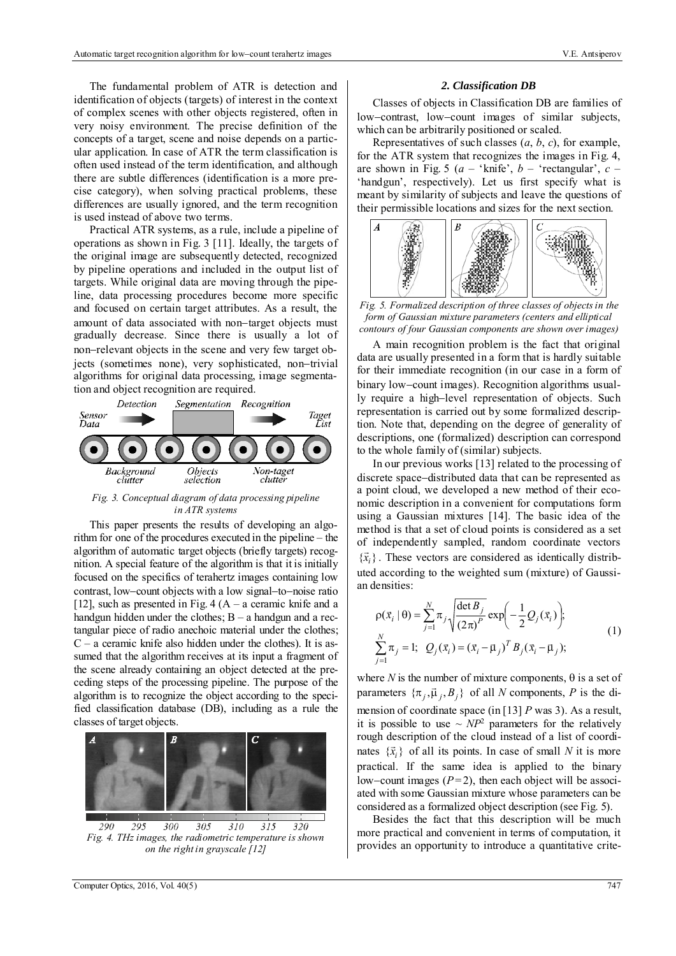The fundamental problem of ATR is detection and identification of objects (targets) of interest in the context of complex scenes with other objects registered, often in very noisy environment. The precise definition of the concepts of a target, scene and noise depends on a particular application. In case of ATR the term classification is often used instead of the term identification, and although there are subtle differences (identification is a more precise category), when solving practical problems, these differences are usually ignored, and the term recognition is used instead of above two terms.

Practical ATR systems, as a rule, include a pipeline of operations as shown in Fig. 3 [11]. Ideally, the targets of the original image are subsequently detected, recognized by pipeline operations and included in the output list of targets. While original data are moving through the pipeline, data processing procedures become more specific and focused on certain target attributes. As a result, the amount of data associated with non-target objects must gradually decrease. Since there is usually a lot of non-relevant objects in the scene and very few target objects (sometimes none), very sophisticated, non-trivial algorithms for original data processing, image segmentation and object recognition are required.



*Fig. 3. Conceptual diagram of data processing pipeline in ATR systems* 

This paper presents the results of developing an algorithm for one of the procedures executed in the pipeline – the algorithm of automatic target objects (briefly targets) recognition. A special feature of the algorithm is that it is initially focused on the specifics of terahertz images containing low contrast, low-count objects with a low signal-to-noise ratio [12], such as presented in Fig. 4  $(A - a$  ceramic knife and a handgun hidden under the clothes;  $B - a$  handgun and a rectangular piece of radio anechoic material under the clothes;  $C - a$  ceramic knife also hidden under the clothes). It is assumed that the algorithm receives at its input a fragment of the scene already containing an object detected at the preceding steps of the processing pipeline. The purpose of the algorithm is to recognize the object according to the specified classification database (DB), including as a rule the classes of target objects.



 $-300$  $305$  $310$  $\overline{315}$  $\overline{320}$ 290 295 *Fig. 4. THz images, the radiometric temperature is shown on the right in grayscale [12]* 

## *2. Classification DB*

Classes of objects in Classification DB are families of low-contrast, low-count images of similar subjects, which can be arbitrarily positioned or scaled.

Representatives of such classes  $(a, b, c)$ , for example, for the ATR system that recognizes the images in Fig. 4, are shown in Fig. 5 ( $a$  – 'knife',  $b$  – 'rectangular',  $c$  – 'handgun', respectively). Let us first specify what is meant by similarity of subjects and leave the questions of their permissible locations and sizes for the next section.



*Fig. 5. Formalized description of three classes of objects in the form of Gaussian mixture parameters (centers and elliptical contours of four Gaussian components are shown over images)* 

A main recognition problem is the fact that original data are usually presented in a form that is hardly suitable for their immediate recognition (in our case in a form of binary low-count images). Recognition algorithms usually require a high-level representation of objects. Such representation is carried out by some formalized description. Note that, depending on the degree of generality of descriptions, one (formalized) description can correspond to the whole family of (similar) subjects.

In our previous works [13] related to the processing of discrete space-distributed data that can be represented as a point cloud, we developed a new method of their economic description in a convenient for computations form using a Gaussian mixtures [14]. The basic idea of the method is that a set of cloud points is considered as a set of independently sampled, random coordinate vectors  ${x_i}$ . These vectors are considered as identically distributed according to the weighted sum (mixture) of Gaussian densities:

$$
\rho(\vec{x}_i | \theta) = \sum_{j=1}^{N} \pi_j \sqrt{\frac{\det B_j}{(2\pi)^P}} \exp\left(-\frac{1}{2} Q_j(\vec{x}_i)\right);
$$
\n
$$
\sum_{j=1}^{N} \pi_j = 1; \ \ Q_j(\vec{x}_i) = (\vec{x}_i - \vec{\mu}_j)^T B_j(\vec{x}_i - \vec{\mu}_j);
$$
\n(1)

where *N* is the number of mixture components,  $\theta$  is a set of parameters  $\{\pi_j, \vec{\mu}_j, B_j\}$  of all *N* components, *P* is the dimension of coordinate space (in [13] *P* was 3). As a result, it is possible to use  $\sim NP^2$  parameters for the relatively rough description of the cloud instead of a list of coordinates  $\{\vec{x}_i\}$  of all its points. In case of small *N* it is more practical. If the same idea is applied to the binary low-count images  $(P=2)$ , then each object will be associated with some Gaussian mixture whose parameters can be considered as a formalized object description (see Fig. 5).

Besides the fact that this description will be much more practical and convenient in terms of computation, it provides an opportunity to introduce a quantitative crite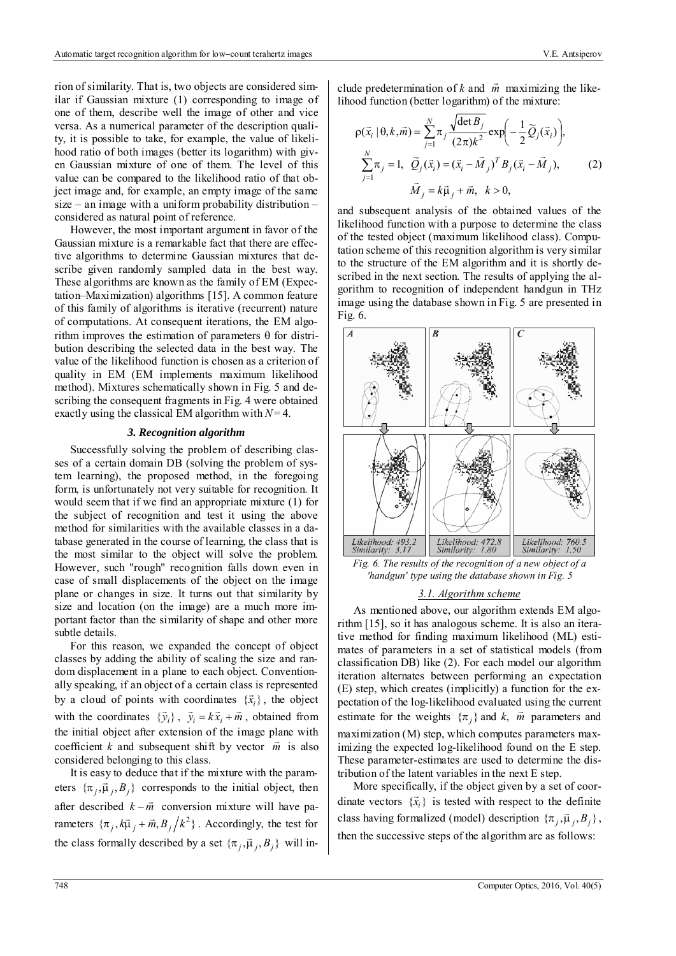rion of similarity. That is, two objects are considered similar if Gaussian mixture (1) corresponding to image of one of them, describe well the image of other and vice versa. As a numerical parameter of the description quality, it is possible to take, for example, the value of likelihood ratio of both images (better its logarithm) with given Gaussian mixture of one of them. The level of this value can be compared to the likelihood ratio of that object image and, for example, an empty image of the same size – an image with a uniform probability distribution – considered as natural point of reference.

However, the most important argument in favor of the Gaussian mixture is a remarkable fact that there are effective algorithms to determine Gaussian mixtures that describe given randomly sampled data in the best way. These algorithms are known as the family of EM (Expectation–Maximization) algorithms [15]. A common feature of this family of algorithms is iterative (recurrent) nature of computations. At consequent iterations, the EM algorithm improves the estimation of parameters  $\theta$  for distribution describing the selected data in the best way. The value of the likelihood function is chosen as a criterion of quality in EM (EM implements maximum likelihood method). Mixtures schematically shown in Fig. 5 and describing the consequent fragments in Fig. 4 were obtained exactly using the classical EM algorithm with *N*= 4.

#### *3. Recognition algorithm*

Successfully solving the problem of describing classes of a certain domain DB (solving the problem of system learning), the proposed method, in the foregoing form, is unfortunately not very suitable for recognition. It would seem that if we find an appropriate mixture (1) for the subject of recognition and test it using the above method for similarities with the available classes in a database generated in the course of learning, the class that is the most similar to the object will solve the problem. However, such "rough" recognition falls down even in case of small displacements of the object on the image plane or changes in size. It turns out that similarity by size and location (on the image) are a much more important factor than the similarity of shape and other more subtle details.

For this reason, we expanded the concept of object classes by adding the ability of scaling the size and random displacement in a plane to each object. Conventionally speaking, if an object of a certain class is represented by a cloud of points with coordinates  $\{\vec{x}_i\}$ , the object with the coordinates  ${\{\vec{y}_i\}}$ ,  ${\vec{y}_i} = k{\vec{x}_i} + {\vec{m}}$ , obtained from the initial object after extension of the image plane with coefficient *k* and subsequent shift by vector  $\vec{m}$  is also considered belonging to this class.

It is easy to deduce that if the mixture with the parameters  $\{\pi_j, \vec{\mu}_j, B_j\}$  corresponds to the initial object, then after described  $k - \vec{m}$  conversion mixture will have parameters  ${\{\pi_j, k\vec{\mu}_j + \vec{m}, B_j / k^2\}}$ . Accordingly, the test for the class formally described by a set  $\{\pi_j, \vec{\mu}_j, B_j\}$  will in-

clude predetermination of  $k$  and  $\vec{m}$  maximizing the likelihood function (better logarithm) of the mixture:

$$
\rho(\vec{x}_i \mid \theta, k, \vec{m}) = \sum_{j=1}^{N} \pi_j \frac{\sqrt{\det B_j}}{(2\pi)k^2} \exp\left(-\frac{1}{2} \widetilde{Q}_j(\vec{x}_i)\right),
$$
  

$$
\sum_{j=1}^{N} \pi_j = 1, \ \ \widetilde{Q}_j(\vec{x}_i) = (\vec{x}_i - \vec{M}_j)^T B_j(\vec{x}_i - \vec{M}_j),
$$
  

$$
\vec{M}_j = k\vec{\mu}_j + \vec{m}, \ \ k > 0,
$$
 (2)

and subsequent analysis of the obtained values of the likelihood function with a purpose to determine the class of the tested object (maximum likelihood class). Computation scheme of this recognition algorithm is very similar to the structure of the EM algorithm and it is shortly described in the next section. The results of applying the algorithm to recognition of independent handgun in THz image using the database shown in Fig. 5 are presented in Fig. 6.



*Fig. 6. The results of the recognition of a new object of a 'handgun' type using the database shown in Fig. 5* 

## *3.1. Algorithm scheme*

As mentioned above, our algorithm extends EM algorithm [15], so it has analogous scheme. It is also an iterative method for finding maximum likelihood (ML) estimates of parameters in a set of statistical models (from classification DB) like (2). For each model our algorithm iteration alternates between performing an expectation (E) step, which creates (implicitly) a function for the expectation of the log-likelihood evaluated using the current estimate for the weights  $\{\pi_j\}$  and  $k$ ,  $\vec{m}$  parameters and maximization (M) step, which computes parameters maximizing the expected log-likelihood found on the E step. These parameter-estimates are used to determine the distribution of the latent variables in the next E step.

More specifically, if the object given by a set of coorwhich specifically, it also object given by a set of coordinate vectors  $\{\vec{x}_i\}$  is tested with respect to the definite class having formalized (model) description  $\{\pi_j, \vec{\mu}_j, B_j\}$ , then the successive steps of the algorithm are as follows: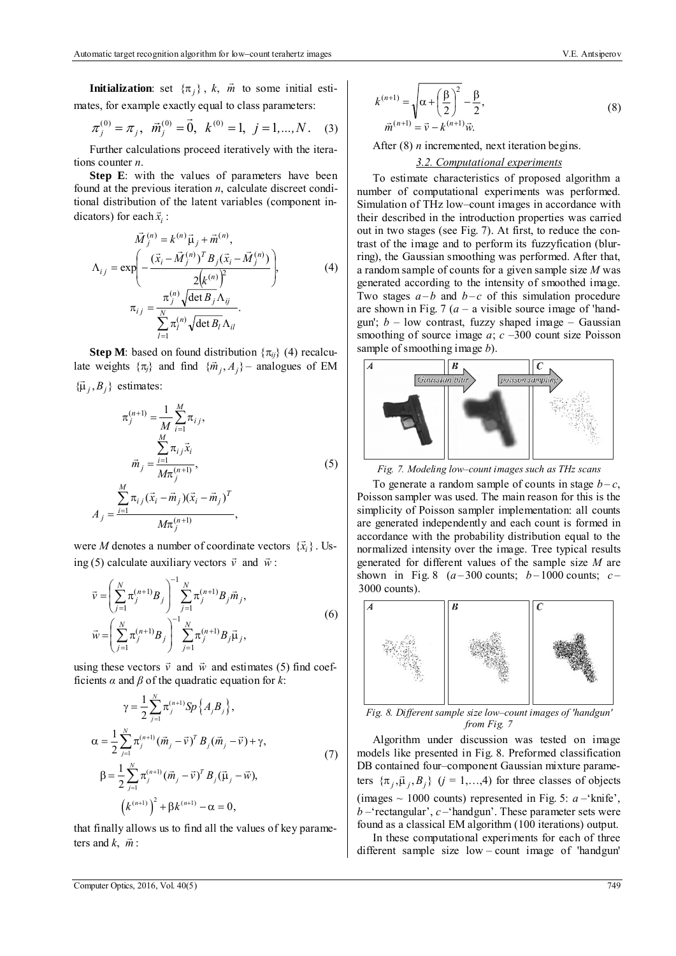**Initialization**: set  $\{\pi_j\}$ , *k*, *m*̀ to some initial estimates, for example exactly equal to class parameters:

$$
\pi_j^{(0)} = \pi_j, \ \vec{m}_j^{(0)} = \vec{0}, \ k^{(0)} = 1, \ j = 1, ..., N. \tag{3}
$$

Further calculations proceed iteratively with the iterations counter *n*.

**Step E**: with the values of parameters have been found at the previous iteration *n*, calculate discreet conditional distribution of the latent variables (component indicators) for each  $\vec{x}_i$ :

$$
\vec{M}_{j}^{(n)} = k^{(n)} \vec{\mu}_{j} + \vec{m}^{(n)},
$$
\n
$$
\Lambda_{ij} = \exp\left(-\frac{(\vec{x}_{i} - \vec{M}_{j}^{(n)})^{T} B_{j}(\vec{x}_{i} - \vec{M}_{j}^{(n)})}{2(k^{(n)})^{2}}\right),
$$
\n
$$
\pi_{ij} = \frac{\pi_{j}^{(n)} \sqrt{\det B_{j}} \Lambda_{ij}}{\sum_{l=1}^{N} \pi_{l}^{(n)} \sqrt{\det B_{l}} \Lambda_{il}}.
$$
\n(4)

**Step M**: based on found distribution  $\{\pi_{ii}\}\$  (4) recalculate weights  $\{\pi_{ij}\}$  and find  $\{\tilde{m}_j, A_j\}$  – analogues of EM  ${\{\vec{\mu}_j, B_j\}}$  estimates:

$$
\pi_j^{(n+1)} = \frac{1}{M} \sum_{i=1}^M \pi_{ij},
$$
  

$$
\vec{m}_j = \frac{\sum_{i=1}^M \pi_{ij} \vec{x}_i}{M \pi_j^{(n+1)}},
$$
  

$$
A_j = \frac{\sum_{i=1}^M \pi_{ij} (\vec{x}_i - \vec{m}_j) (\vec{x}_i - \vec{m}_j)^T}{M \pi_j^{(n+1)}},
$$
 (5)

were *M* denotes a number of coordinate vectors  $\{\vec{x}_i\}$ . Using (5) calculate auxiliary vectors  $\vec{v}$  and  $\vec{w}$ :

$$
\vec{v} = \left(\sum_{j=1}^{N} \pi_j^{(n+1)} B_j\right)^{-1} \sum_{j=1}^{N} \pi_j^{(n+1)} B_j \vec{m}_j,
$$
  
\n
$$
\vec{w} = \left(\sum_{j=1}^{N} \pi_j^{(n+1)} B_j\right)^{-1} \sum_{j=1}^{N} \pi_j^{(n+1)} B_j \vec{\mu}_j,
$$
\n(6)

using these vectors  $\vec{v}$  and  $\vec{w}$  and estimates (5) find coefficients  $\alpha$  and  $\beta$  of the quadratic equation for  $k$ :

$$
\gamma = \frac{1}{2} \sum_{j=1}^{N} \pi_j^{(n+1)} Sp\{A_j B_j\},
$$
  
\n
$$
\alpha = \frac{1}{2} \sum_{j=1}^{N} \pi_j^{(n+1)} (\vec{m}_j - \vec{v})^T B_j (\vec{m}_j - \vec{v}) + \gamma,
$$
  
\n
$$
\beta = \frac{1}{2} \sum_{j=1}^{N} \pi_j^{(n+1)} (\vec{m}_j - \vec{v})^T B_j (\vec{\mu}_j - \vec{w}),
$$
  
\n
$$
(A^{(n+1)})^2 + \beta k^{(n+1)} - \alpha = 0,
$$
\n(7)

that finally allows us to find all the values of key parameters and  $k$ ,  $\vec{m}$  :

$$
k^{(n+1)} = \sqrt{\alpha + \left(\frac{\beta}{2}\right)^2 - \frac{\beta}{2}},
$$
  
\n
$$
\vec{m}^{(n+1)} = \vec{v} - k^{(n+1)}\vec{w}.
$$
\n(8)

After (8) *n* incremented, next iteration begins.

## *3.2. Computational experiments*

To estimate characteristics of proposed algorithm a number of computational experiments was performed. Simulation of THz low–count images in accordance with their described in the introduction properties was carried out in two stages (see Fig. 7). At first, to reduce the contrast of the image and to perform its fuzzyfication (blurring), the Gaussian smoothing was performed. After that, a random sample of counts for a given sample size *M* was generated according to the intensity of smoothed image. Two stages  $a - b$  and  $b - c$  of this simulation procedure are shown in Fig. 7  $(a - a$  visible source image of 'handgun';  $b$  – low contrast, fuzzy shaped image – Gaussian smoothing of source image *a*; *c* –300 count size Poisson sample of smoothing image *b*).



*Fig. 7. Modeling low–count images such as THz scans* 

To generate a random sample of counts in stage  $b - c$ , Poisson sampler was used. The main reason for this is the simplicity of Poisson sampler implementation: all counts are generated independently and each count is formed in accordance with the probability distribution equal to the normalized intensity over the image. Tree typical results generated for different values of the sample size *M* are shown in Fig. 8  $(a-300 \text{ counts}; b-1000 \text{ counts}; c-$ 3000 counts).



*Fig. 8. Different sample size low–count images of 'handgun' from Fig. 7* 

Algorithm under discussion was tested on image models like presented in Fig. 8. Preformed classification DB contained four–component Gaussian mixture parameters  $\{\pi_j, \vec{\mu}_j, B_j\}$  (*j* = 1,...,4) for three classes of objects (images  $\sim$  1000 counts) represented in Fig. 5: *a* – 'knife',  $b$  –'rectangular',  $c$  –'handgun'. These parameter sets were found as a classical EM algorithm (100 iterations) output.

In these computational experiments for each of three different sample size low – count image of 'handgun'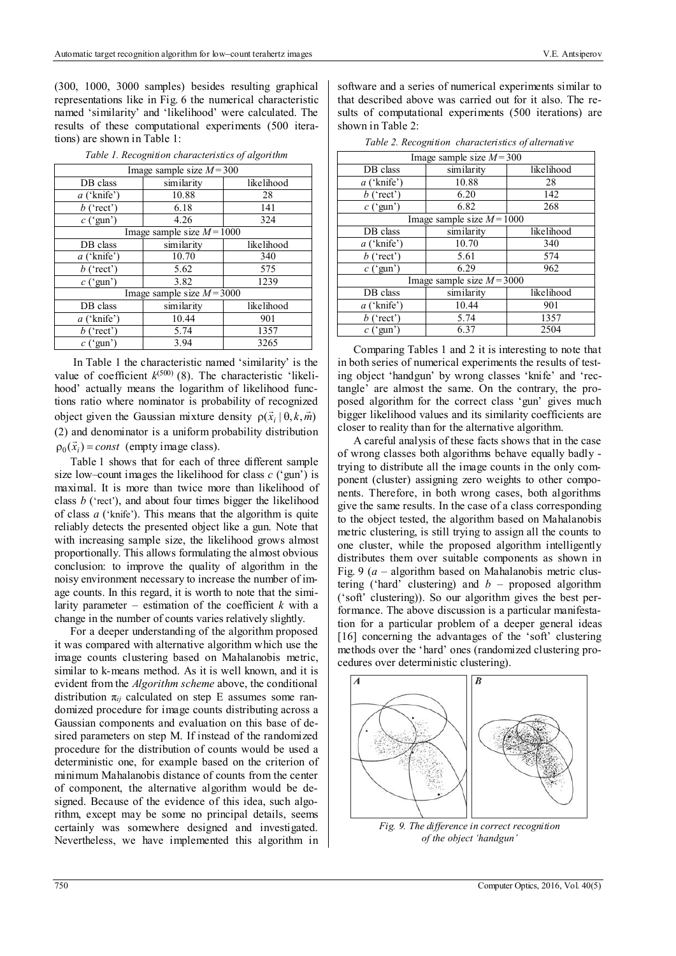(300, 1000, 3000 samples) besides resulting graphical representations like in Fig. 6 the numerical characteristic named 'similarity' and 'likelihood' were calculated. The results of these computational experiments (500 iterations) are shown in Table 1:

| Image sample size $M = 300$  |            |            |  |  |  |  |
|------------------------------|------------|------------|--|--|--|--|
| DB class                     | similarity | likelihood |  |  |  |  |
| $a$ ('knife')                | 10.88      | 28         |  |  |  |  |
| $b$ ('rect')                 | 6.18       | 141        |  |  |  |  |
| $c$ ('gun')                  | 4.26       | 324        |  |  |  |  |
| Image sample size $M = 1000$ |            |            |  |  |  |  |
| DB class                     | similarity | likelihood |  |  |  |  |
| $a$ ('knife')                | 10.70      | 340        |  |  |  |  |
| $b$ ('rect')                 | 5.62       | 575        |  |  |  |  |
| $c$ ('gun')                  | 3.82       | 1239       |  |  |  |  |
| Image sample size $M = 3000$ |            |            |  |  |  |  |
| DB class                     | similarity | likelihood |  |  |  |  |
| $a$ ('knife')                | 10.44      | 901        |  |  |  |  |
| $b$ ('rect')                 | 5.74       | 1357       |  |  |  |  |
| $c$ ('gun')                  | 3.94       | 3265       |  |  |  |  |

*Table 1. Recognition characteristics of algorithm* 

 In Table 1 the characteristic named 'similarity' is the value of coefficient  $k^{(500)}$  (8). The characteristic 'likelihood' actually means the logarithm of likelihood functions ratio where nominator is probability of recognized object given the Gaussian mixture density  $\rho(\vec{x}, \theta, k, \vec{m})$ (2) and denominator is a uniform probability distribution  $p_0(\vec{x}_i) = const$  (empty image class).

Table 1 shows that for each of three different sample size low–count images the likelihood for class *c* ('gun') is maximal. It is more than twice more than likelihood of class *b* ('rect'), and about four times bigger the likelihood of class *a* ('knife'). This means that the algorithm is quite reliably detects the presented object like a gun. Note that with increasing sample size, the likelihood grows almost proportionally. This allows formulating the almost obvious conclusion: to improve the quality of algorithm in the noisy environment necessary to increase the number of image counts. In this regard, it is worth to note that the similarity parameter – estimation of the coefficient  $k$  with a change in the number of counts varies relatively slightly.

For a deeper understanding of the algorithm proposed it was compared with alternative algorithm which use the image counts clustering based on Mahalanobis metric, similar to k-means method. As it is well known, and it is evident from the *Algorithm scheme* above, the conditional distribution  $\pi_{ij}$  calculated on step E assumes some randomized procedure for image counts distributing across a Gaussian components and evaluation on this base of desired parameters on step M. If instead of the randomized procedure for the distribution of counts would be used a deterministic one, for example based on the criterion of minimum Mahalanobis distance of counts from the center of component, the alternative algorithm would be designed. Because of the evidence of this idea, such algorithm, except may be some no principal details, seems certainly was somewhere designed and investigated. Nevertheless, we have implemented this algorithm in software and a series of numerical experiments similar to that described above was carried out for it also. The results of computational experiments (500 iterations) are shown in Table 2:

| Image sample size $M = 300$  |            |            |  |  |  |  |
|------------------------------|------------|------------|--|--|--|--|
| DB class                     | similarity | likelihood |  |  |  |  |
| $a$ ('knife')                | 10.88      | 28         |  |  |  |  |
| $b$ ('rect')                 | 6.20       | 142        |  |  |  |  |
| $c$ ('gun')                  | 6.82       | 268        |  |  |  |  |
| Image sample size $M = 1000$ |            |            |  |  |  |  |
| DB class                     | similarity | likelihood |  |  |  |  |
| $a$ ('knife')                | 10.70      | 340        |  |  |  |  |
| $b$ ('rect')                 | 5.61       | 574        |  |  |  |  |
| $c$ ('gun')                  | 6.29       | 962        |  |  |  |  |
| Image sample size $M = 3000$ |            |            |  |  |  |  |
| DB class                     | similarity | likelihood |  |  |  |  |
| $a$ ('knife')                | 10.44      | 901        |  |  |  |  |
| $b$ ('rect')                 | 5.74       | 1357       |  |  |  |  |
| $c$ ('gun')                  | 6.37       | 2504       |  |  |  |  |

*Table 2. Recognition characteristics of alternative* 

Comparing Tables 1 and 2 it is interesting to note that in both series of numerical experiments the results of testing object 'handgun' by wrong classes 'knife' and 'rectangle' are almost the same. On the contrary, the proposed algorithm for the correct class 'gun' gives much bigger likelihood values and its similarity coefficients are closer to reality than for the alternative algorithm.

A careful analysis of these facts shows that in the case of wrong classes both algorithms behave equally badly trying to distribute all the image counts in the only component (cluster) assigning zero weights to other components. Therefore, in both wrong cases, both algorithms give the same results. In the case of a class corresponding to the object tested, the algorithm based on Mahalanobis metric clustering, is still trying to assign all the counts to one cluster, while the proposed algorithm intelligently distributes them over suitable components as shown in Fig. 9 (*a* – algorithm based on Mahalanobis metric clustering ('hard' clustering) and  $b$  – proposed algorithm ('soft' clustering)). So our algorithm gives the best performance. The above discussion is a particular manifestation for a particular problem of a deeper general ideas [16] concerning the advantages of the 'soft' clustering methods over the 'hard' ones (randomized clustering procedures over deterministic clustering).



 *Fig. 9. The difference in correct recognition of the object 'handgun'*